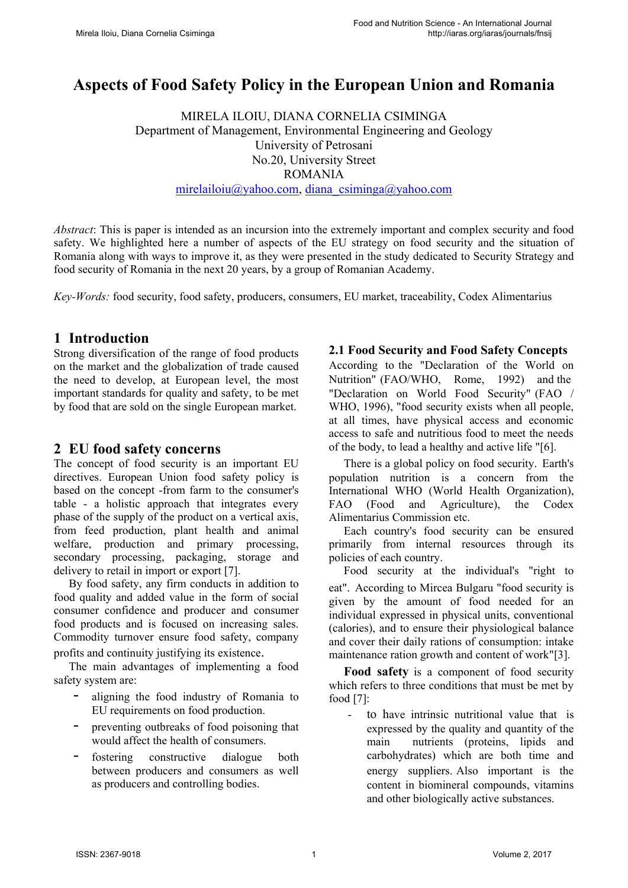# **Aspects of Food Safety Policy in the European Union and Romania**

MIRELA ILOIU, DIANA CORNELIA CSIMINGA Department of Management, Environmental Engineering and Geology University of Petrosani No.20, University Street ROMANIA [mirelailoiu@yahoo.com,](mailto:mirelailoiu@yahoo.com) diana\_csiminga@yahoo.com

*Abstract*: This is paper is intended as an incursion into the extremely important and complex security and food safety. We highlighted here a number of aspects of the EU strategy on food security and the situation of Romania along with ways to improve it, as they were presented in the study dedicated to Security Strategy and food security of Romania in the next 20 years, by a group of Romanian Academy.

*Key-Words:* food security, food safety, producers, consumers, EU market, traceability, Codex Alimentarius

## **1 Introduction**

Strong diversification of the range of food products on the market and the globalization of trade caused the need to develop, at European level, the most important standards for quality and safety, to be met by food that are sold on the single European market.

### **2 EU food safety concerns**

The concept of food security is an important EU directives. European Union food safety policy is based on the concept -from farm to the consumer's table - a holistic approach that integrates every phase of the supply of the product on a vertical axis, from feed production, plant health and animal welfare, production and primary processing, secondary processing, packaging, storage and delivery to retail in import or export [7].

By food safety, any firm conducts in addition to food quality and added value in the form of social consumer confidence and producer and consumer food products and is focused on increasing sales. Commodity turnover ensure food safety, company profits and continuity justifying its existence.

The main advantages of implementing a food safety system are:

- aligning the food industry of Romania to EU requirements on food production.
- preventing outbreaks of food poisoning that would affect the health of consumers.
- fostering constructive dialogue both between producers and consumers as well as producers and controlling bodies.

#### **2.1 Food Security and Food Safety Concepts**

According to the "Declaration of the World on Nutrition" (FAO/WHO, Rome, 1992) and the "Declaration on World Food Security" (FAO / WHO, 1996), "food security exists when all people, at all times, have physical access and economic access to safe and nutritious food to meet the needs of the body, to lead a healthy and active life "[6].

There is a global policy on food security. Earth's population nutrition is a concern from the International WHO (World Health Organization), FAO (Food and Agriculture), the Codex Alimentarius Commission etc.

Each country's food security can be ensured primarily from internal resources through its policies of each country.

Food security at the individual's "right to eat". According to Mircea Bulgaru "food security is given by the amount of food needed for an individual expressed in physical units, conventional (calories), and to ensure their physiological balance and cover their daily rations of consumption: intake maintenance ration growth and content of work"[3].

**Food safety** is a component of food security which refers to three conditions that must be met by food [7]:

- to have intrinsic nutritional value that is expressed by the quality and quantity of the main nutrients (proteins, lipids and carbohydrates) which are both time and energy suppliers. Also important is the content in biomineral compounds, vitamins and other biologically active substances.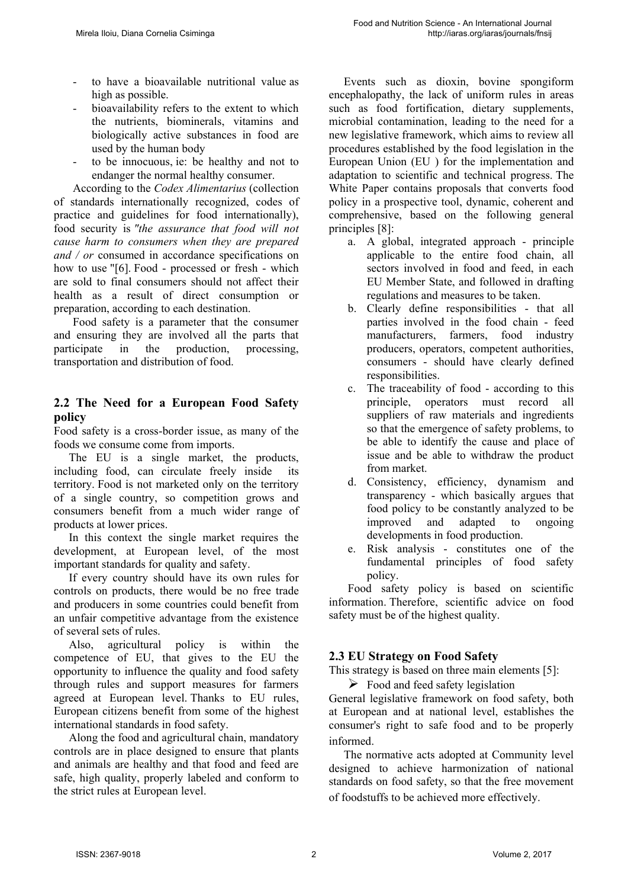- to have a bioavailable nutritional value as high as possible.
- bioavailability refers to the extent to which the nutrients, biominerals, vitamins and biologically active substances in food are used by the human body
- to be innocuous, ie: be healthy and not to endanger the normal healthy consumer.

According to the *Codex Alimentarius* (collection of standards internationally recognized, codes of practice and guidelines for food internationally), food security is *"the assurance that food will not cause harm to consumers when they are prepared and / or* consumed in accordance specifications on how to use "[6]. Food - processed or fresh - which are sold to final consumers should not affect their health as a result of direct consumption or preparation, according to each destination.

Food safety is a parameter that the consumer and ensuring they are involved all the parts that participate in the production, processing, transportation and distribution of food.

#### **2.2 The Need for a European Food Safety policy**

Food safety is a cross-border issue, as many of the foods we consume come from imports.

The EU is a single market, the products, including food, can circulate freely inside its territory. Food is not marketed only on the territory of a single country, so competition grows and consumers benefit from a much wider range of products at lower prices.

In this context the single market requires the development, at European level, of the most important standards for quality and safety.

If every country should have its own rules for controls on products, there would be no free trade and producers in some countries could benefit from an unfair competitive advantage from the existence of several sets of rules.

Also, agricultural policy is within the competence of EU, that gives to the EU the opportunity to influence the quality and food safety through rules and support measures for farmers agreed at European level. Thanks to EU rules, European citizens benefit from some of the highest international standards in food safety.

Along the food and agricultural chain, mandatory controls are in place designed to ensure that plants and animals are healthy and that food and feed are safe, high quality, properly labeled and conform to the strict rules at European level.

Events such as dioxin, bovine spongiform encephalopathy, the lack of uniform rules in areas such as food fortification, dietary supplements, microbial contamination, leading to the need for a new legislative framework, which aims to review all procedures established by the food legislation in the European Union (EU ) for the implementation and adaptation to scientific and technical progress. The White Paper contains proposals that converts food policy in a prospective tool, dynamic, coherent and comprehensive, based on the following general principles [8]:

- a. A global, integrated approach principle applicable to the entire food chain, all sectors involved in food and feed, in each EU Member State, and followed in drafting regulations and measures to be taken.
- b. Clearly define responsibilities that all parties involved in the food chain - feed manufacturers, farmers, food industry producers, operators, competent authorities, consumers - should have clearly defined responsibilities.
- c. The traceability of food according to this principle, operators must record all suppliers of raw materials and ingredients so that the emergence of safety problems, to be able to identify the cause and place of issue and be able to withdraw the product from market.
- d. Consistency, efficiency, dynamism and transparency - which basically argues that food policy to be constantly analyzed to be improved and adapted to ongoing developments in food production.
- e. Risk analysis constitutes one of the fundamental principles of food safety policy.

Food safety policy is based on scientific information. Therefore, scientific advice on food safety must be of the highest quality.

#### **2.3 EU Strategy on Food Safety**

This strategy is based on three main elements [5]:

 $\triangleright$  Food and feed safety legislation

General legislative framework on food safety, both at European and at national level, establishes the consumer's right to safe food and to be properly informed.

The normative acts adopted at Community level designed to achieve harmonization of national standards on food safety, so that the free movement of foodstuffs to be achieved more effectively.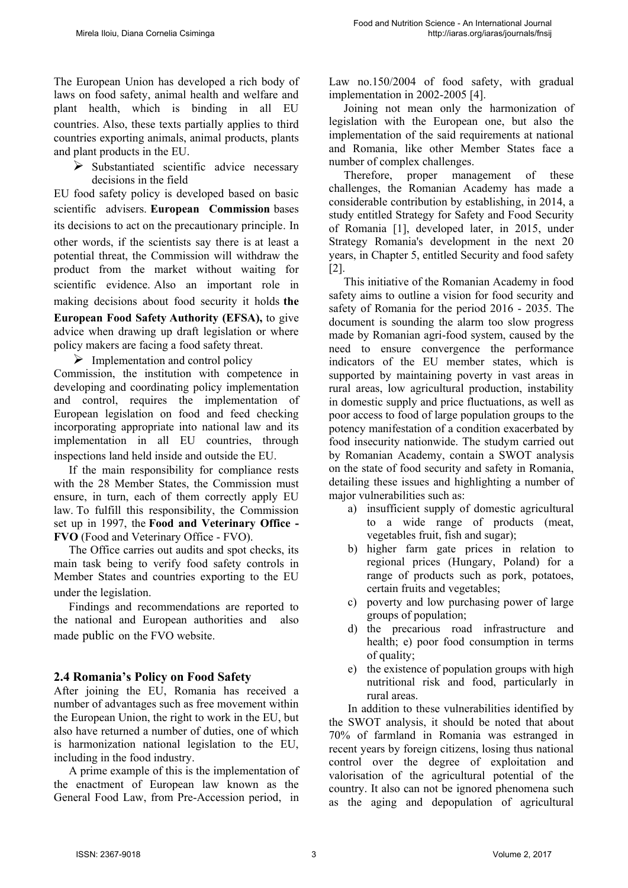The European Union has developed a rich body of laws on food safety, animal health and welfare and plant health, which is binding in all EU countries. Also, these texts partially applies to third countries exporting animals, animal products, plants and plant products in the EU.

 $\triangleright$  Substantiated scientific advice necessary decisions in the field

EU food safety policy is developed based on basic scientific advisers. **European Commission** bases its decisions to act on the precautionary principle. In other words, if the scientists say there is at least a potential threat, the Commission will withdraw the product from the market without waiting for scientific evidence. Also an important role in making decisions about food security it holds **the European Food Safety Authority (EFSA),** to give advice when drawing up draft legislation or where policy makers are facing a food safety threat.

 $\triangleright$  Implementation and control policy Commission, the institution with competence in developing and coordinating policy implementation and control, requires the implementation of European legislation on food and feed checking incorporating appropriate into national law and its implementation in all EU countries, through inspections land held inside and outside the EU.

If the main responsibility for compliance rests with the 28 Member States, the Commission must ensure, in turn, each of them correctly apply EU law. To fulfill this responsibility, the Commission set up in 1997, the **Food and Veterinary Office - FVO** (Food and Veterinary Office - FVO).

The Office carries out audits and spot checks, its main task being to verify food safety controls in Member States and countries exporting to the EU under the legislation.

Findings and recommendations are reported to the national and European authorities and also made public on the FVO website.

#### **2.4 Romania's Policy on Food Safety**

After joining the EU, Romania has received a number of advantages such as free movement within the European Union, the right to work in the EU, but also have returned a number of duties, one of which is harmonization national legislation to the EU, including in the food industry.

A prime example of this is the implementation of the enactment of European law known as the General Food Law, from Pre-Accession period, in Law no.150/2004 of food safety, with gradual implementation in 2002-2005 [4].

Joining not mean only the harmonization of legislation with the European one, but also the implementation of the said requirements at national and Romania, like other Member States face a number of complex challenges.

Therefore, proper management of these challenges, the Romanian Academy has made a considerable contribution by establishing, in 2014, a study entitled Strategy for Safety and Food Security of Romania [1], developed later, in 2015, under Strategy Romania's development in the next 20 years, in Chapter 5, entitled Security and food safety [2].

This initiative of the Romanian Academy in food safety aims to outline a vision for food security and safety of Romania for the period 2016 - 2035. The document is sounding the alarm too slow progress made by Romanian agri-food system, caused by the need to ensure convergence the performance indicators of the EU member states, which is supported by maintaining poverty in vast areas in rural areas, low agricultural production, instability in domestic supply and price fluctuations, as well as poor access to food of large population groups to the potency manifestation of a condition exacerbated by food insecurity nationwide. The studym carried out by Romanian Academy, contain a SWOT analysis on the state of food security and safety in Romania, detailing these issues and highlighting a number of major vulnerabilities such as:

- a) insufficient supply of domestic agricultural to a wide range of products (meat, vegetables fruit, fish and sugar);
- b) higher farm gate prices in relation to regional prices (Hungary, Poland) for a range of products such as pork, potatoes, certain fruits and vegetables;
- c) poverty and low purchasing power of large groups of population;
- d) the precarious road infrastructure and health; e) poor food consumption in terms of quality;
- e) the existence of population groups with high nutritional risk and food, particularly in rural areas.

In addition to these vulnerabilities identified by the SWOT analysis, it should be noted that about 70% of farmland in Romania was estranged in recent years by foreign citizens, losing thus national control over the degree of exploitation and valorisation of the agricultural potential of the country. It also can not be ignored phenomena such as the aging and depopulation of agricultural